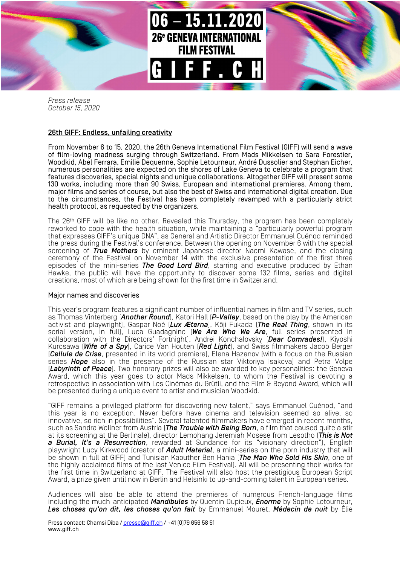

*Press release October 15, 2020*

## 26th GIFF: Endless, unfailing creativity

From November 6 to 15, 2020, the 26th Geneva International Film Festival (GIFF) will send a wave of film-loving madness surging through Switzerland. From Mads Mikkelsen to Sara Forestier, Woodkid, Abel Ferrara, Emilie Dequenne, Sophie Letourneur, André Dussolier and Stephan Eicher, numerous personalities are expected on the shores of Lake Geneva to celebrate a program that features discoveries, special nights and unique collaborations. Altogether GIFF will present some 130 works, including more than 90 Swiss, European and international premieres. Among them, major films and series of course, but also the best of Swiss and international digital creation. Due to the circumstances, the Festival has been completely revamped with a particularly strict health protocol, as requested by the organizers.

The 26<sup>th</sup> GIFF will be like no other. Revealed this Thursday, the program has been completely reworked to cope with the health situation, while maintaining a "particularly powerful program that expresses GIFF's unique DNA", as General and Artistic Director Emmanuel Cuénod reminded the press during the Festival's conference. Between the opening on November 6 with the special screening of *True Mothers* by eminent Japanese director Naomi Kawase, and the closing ceremony of the Festival on November 14 with the exclusive presentation of the first three episodes of the mini-series *The Good Lord Bird*, starring and executive produced by Ethan Hawke, the public will have the opportunity to discover some 132 films, series and digital creations, most of which are being shown for the first time in Switzerland.

## Major names and discoveries

This year's program features a significant number of influential names in film and TV series, such as Thomas Vinterberg (*Another Round*), Katori Hall (*P-Valley*, based on the play by the American activist and playwright), Gaspar Noé (*Lux Æterna*), Kōji Fukada (*The Real Thing*, shown in its serial version, in full), Luca Guadagnino (*We Are Who We Are*, full series presented in collaboration with the Directors' Fortnight), Andrei Konchalovsky (*Dear Comrades!*), Kiyoshi Kurosawa (*Wife of a Spy*), Carice Van Houten (*Red Light*), and Swiss filmmakers Jacob Berger (*Cellule de Crise*, presented in its world premiere), Elena Hazanov (with a focus on the Russian series *Hope* also in the presence of the Russian star Viktoriya Isakova) and Petra Volpe (*Labyrinth of Peace*). Two honorary prizes will also be awarded to key personalities: the Geneva Award, which this year goes to actor Mads Mikkelsen, to whom the Festival is devoting a retrospective in association with Les Cinémas du Grütli, and the Film & Beyond Award, which will be presented during a unique event to artist and musician Woodkid.

"GIFF remains a privileged platform for discovering new talent," says Emmanuel Cuénod, "and this year is no exception. Never before have cinema and television seemed so alive, so innovative, so rich in possibilities". Several talented filmmakers have emerged in recent months, such as Sandra Wollner from Austria (*The Trouble with Being Born*, a film that caused quite a stir at its screening at the Berlinale), director Lemohang Jeremiah Mosese from Lesotho (*This is Not a Burial, It's a Resurrection*, rewarded at Sundance for its "visionary direction"), English playwright Lucy Kirkwood (creator of *Adult Material*, a mini-series on the porn industry that will be shown in full at GIFF) and Tunisian Kaouther Ben Hania (*The Man Who Sold His Skin*, one of the highly acclaimed films of the last Venice Film Festival). All will be presenting their works for the first time in Switzerland at GIFF. The Festival will also host the prestigious European Script Award, a prize given until now in Berlin and Helsinki to up-and-coming talent in European series.

Audiences will also be able to attend the premieres of numerous French-language films including the much-anticipated *Mandibules* by Quentin Dupieux, *Énorme* by Sophie Letourneur, *Les choses qu'on dit, les choses qu'on fait* by Emmanuel Mouret, *Médecin de nuit* by Élie